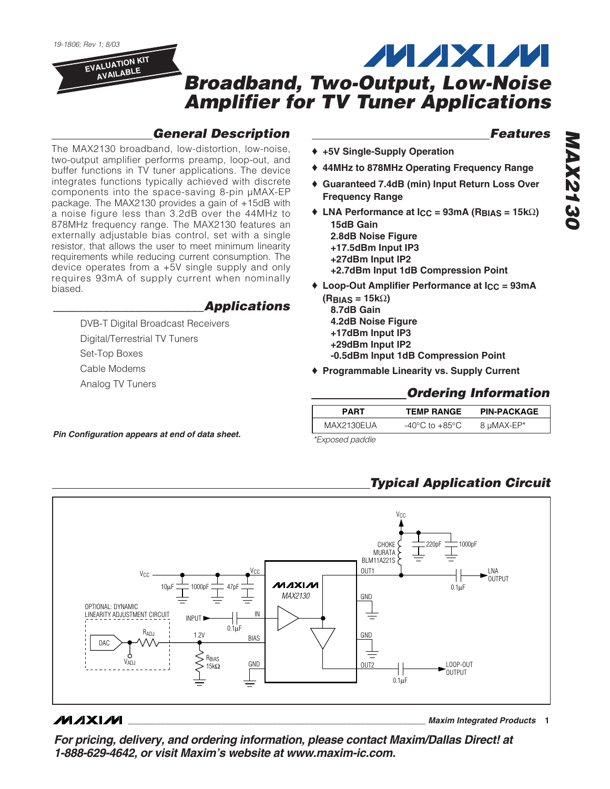

### *General Description*

The MAX2130 broadband, low-distortion, low-noise, two-output amplifier performs preamp, loop-out, and buffer functions in TV tuner applications. The device integrates functions typically achieved with discrete components into the space-saving 8-pin µMAX-EP package. The MAX2130 provides a gain of +15dB with a noise figure less than 3.2dB over the 44MHz to 878MHz frequency range. The MAX2130 features an externally adjustable bias control, set with a single resistor, that allows the user to meet minimum linearity requirements while reducing current consumption. The device operates from a +5V single supply and only requires 93mA of supply current when nominally biased.

#### *\_\_\_\_\_\_\_\_\_\_\_\_\_\_\_\_\_\_\_\_\_\_\_\_Applications*

DVB-T Digital Broadcast Receivers Digital/Terrestrial TV Tuners Set-Top Boxes Cable Modems Analog TV Tuners

#### *Features*

- ♦ **+5V Single-Supply Operation**
- ♦ **44MHz to 878MHz Operating Frequency Range**
- ♦ **Guaranteed 7.4dB (min) Input Return Loss Over Frequency Range**
- ♦ **LNA Performance at ICC = 93mA (RBIAS = 15k**Ω**) 15dB Gain 2.8dB Noise Figure**
	- **+17.5dBm Input IP3**
	- **+27dBm Input IP2**
	- **+2.7dBm Input 1dB Compression Point**
- ♦ **Loop-Out Amplifier Performance at ICC = 93mA (RBIAS = 15k**Ω**)**
	- **8.7dB Gain 4.2dB Noise Figure +17dBm Input IP3**
	- **+29dBm Input IP2**
	- **-0.5dBm Input 1dB Compression Point**
- ♦ **Programmable Linearity vs. Supply Current**

#### *Ordering Information*

| PART       | <b>TEMP RANGE</b> | <b>PIN-PACKAGE</b> |
|------------|-------------------|--------------------|
| MAX2130EUA | -40°C to +85°C    | 8 µMAX-EP*         |

*\*Exposed paddle Pin Configuration appears at end of data sheet.*

## *Typical Application Circuit*



#### $MAXIM$

**\_\_\_\_\_\_\_\_\_\_\_\_\_\_\_\_\_\_\_\_\_\_\_\_\_\_\_\_\_\_\_\_\_\_\_\_\_\_\_\_\_\_\_\_\_\_\_\_\_\_\_\_\_\_\_\_\_\_\_\_\_\_\_\_** *Maxim Integrated Products* **1**

*For pricing, delivery, and ordering information, please contact Maxim/Dallas Direct! at 1-888-629-4642, or visit Maxim's website at www.maxim-ic.com.*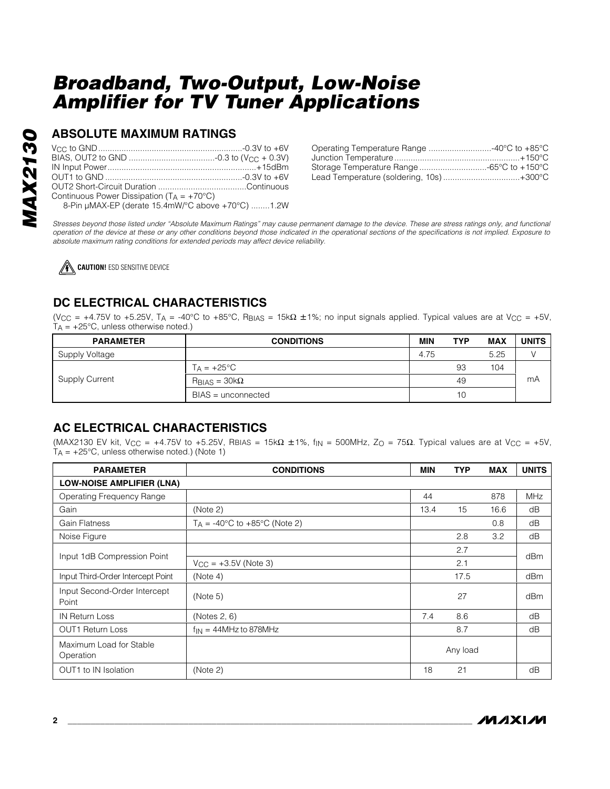#### **ABSOLUTE MAXIMUM RATINGS**

| Continuous Power Dissipation $(T_A = +70^{\circ}C)$ |  |
|-----------------------------------------------------|--|
| 8-Pin µMAX-EP (derate 15.4mW/°C above +70°C) 1.2W   |  |

| Lead Temperature (soldering, 10s)+300°C |  |
|-----------------------------------------|--|

*Stresses beyond those listed under "Absolute Maximum Ratings" may cause permanent damage to the device. These are stress ratings only, and functional operation of the device at these or any other conditions beyond those indicated in the operational sections of the specifications is not implied. Exposure to absolute maximum rating conditions for extended periods may affect device reliability.*

**CAUTION!** ESD SENSITIVE DEVICE

## **DC ELECTRICAL CHARACTERISTICS**

(V<sub>CC</sub> = +4.75V to +5.25V, T<sub>A</sub> = -40°C to +85°C, R<sub>BIAS</sub> = 15kΩ ±1%; no input signals applied. Typical values are at V<sub>CC</sub> = +5V,  $T_A$  = +25°C, unless otherwise noted.)

| <b>PARAMETER</b> | <b>CONDITIONS</b>                     | MIN  | TYP | MAX  | <b>UNITS</b> |
|------------------|---------------------------------------|------|-----|------|--------------|
| Supply Voltage   |                                       | 4.75 |     | 5.25 |              |
|                  | $T_A = +25$ °C                        |      | 93  | 104  |              |
| Supply Current   | $R_{\text{BIAS}} = 30 \text{k}\Omega$ |      | 49  |      | mA           |
|                  | $BIAS =$ unconnected                  |      | 10  |      |              |

### **AC ELECTRICAL CHARACTERISTICS**

(MAX2130 EV kit, V<sub>CC</sub> = +4.75V to +5.25V, RBIAS = 15k $\Omega$  ±1%, f<sub>IN</sub> = 500MHz, Z<sub>O</sub> = 75 $\Omega$ . Typical values are at V<sub>CC</sub> = +5V,  $T_A = +25^{\circ}$ C, unless otherwise noted.) (Note 1)

| <b>PARAMETER</b>                      | <b>CONDITIONS</b>               | <b>MIN</b> | <b>TYP</b> | <b>MAX</b> | <b>UNITS</b> |  |
|---------------------------------------|---------------------------------|------------|------------|------------|--------------|--|
| <b>LOW-NOISE AMPLIFIER (LNA)</b>      |                                 |            |            |            |              |  |
| Operating Frequency Range             |                                 | 44         |            | 878        | <b>MHz</b>   |  |
| Gain                                  | (Note 2)                        | 13.4       | 15         | 16.6       | dB           |  |
| <b>Gain Flatness</b>                  | $T_A$ = -40°C to +85°C (Note 2) |            |            | 0.8        | dB           |  |
| Noise Figure                          |                                 |            | 2.8        | 3.2        | dB           |  |
|                                       |                                 |            | 2.7        |            | dBm          |  |
| Input 1dB Compression Point           | $V_{CC} = +3.5V$ (Note 3)       |            | 2.1        |            |              |  |
| Input Third-Order Intercept Point     | (Note 4)                        |            | 17.5       |            | dBm          |  |
| Input Second-Order Intercept<br>Point | (Note 5)                        |            | 27         |            | dBm          |  |
| <b>IN Return Loss</b>                 | (Notes 2, 6)                    | 7.4        | 8.6        |            | dB           |  |
| <b>OUT1 Return Loss</b>               | $f_{IN} = 44MHz$ to 878MHz      |            | 8.7        |            | dB           |  |
| Maximum Load for Stable<br>Operation  |                                 |            | Any load   |            |              |  |
| OUT1 to IN Isolation                  | (Note 2)                        | 18         | 21         |            | dB           |  |

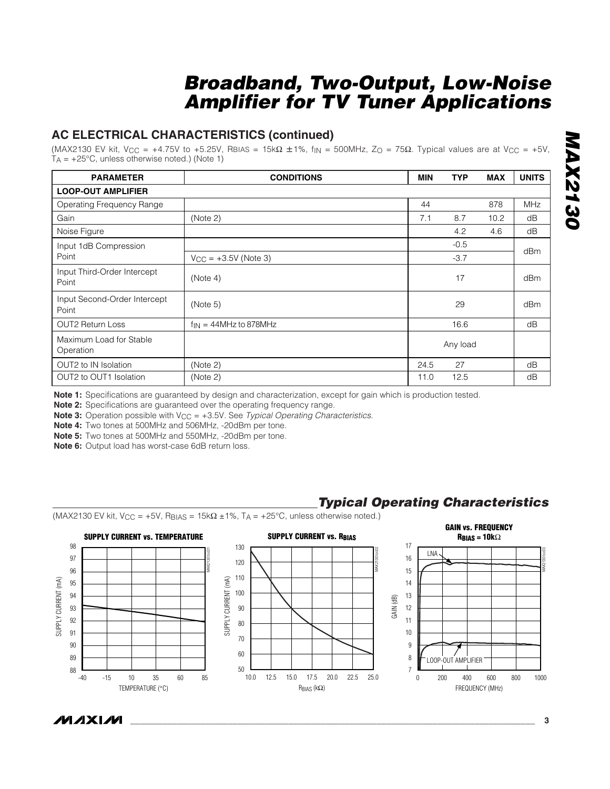#### **AC ELECTRICAL CHARACTERISTICS (continued)**

(MAX2130 EV kit, V<sub>CC</sub> = +4.75V to +5.25V, RBIAS = 15k $\Omega \pm 1\%$ , f<sub>IN</sub> = 500MHz, Z<sub>O</sub> = 75 $\Omega$ . Typical values are at V<sub>CC</sub> = +5V,  $T_A$  = +25°C, unless otherwise noted.) (Note 1)

| <b>PARAMETER</b>                      | <b>CONDITIONS</b>          | <b>MIN</b> | <b>TYP</b> | <b>MAX</b> | <b>UNITS</b> |  |  |
|---------------------------------------|----------------------------|------------|------------|------------|--------------|--|--|
| <b>LOOP-OUT AMPLIFIER</b>             |                            |            |            |            |              |  |  |
| Operating Frequency Range             |                            | 44         |            | 878        | <b>MHz</b>   |  |  |
| Gain                                  | (Note 2)                   | 7.1        | 8.7        | 10.2       | dB           |  |  |
| Noise Figure                          |                            |            | 4.2        | 4.6        | dB           |  |  |
| Input 1dB Compression                 |                            |            | $-0.5$     |            | dBm          |  |  |
| Point                                 | $V_{CC} = +3.5V$ (Note 3)  |            | $-3.7$     |            |              |  |  |
| Input Third-Order Intercept<br>Point  | (Note 4)                   |            | 17         |            | dBm          |  |  |
| Input Second-Order Intercept<br>Point | (Note 5)                   |            | 29         |            | dBm          |  |  |
| <b>OUT2 Return Loss</b>               | $f_{IN} = 44MHz$ to 878MHz |            | 16.6       |            | dB           |  |  |
| Maximum Load for Stable<br>Operation  |                            |            | Any load   |            |              |  |  |
| OUT2 to IN Isolation                  | (Note 2)                   | 24.5       | 27         |            | dB           |  |  |
| OUT2 to OUT1 Isolation                | (Note 2)                   | 11.0       | 12.5       |            | dB           |  |  |

**Note 1:** Specifications are guaranteed by design and characterization, except for gain which is production tested.

**Note 2:** Specifications are guaranteed over the operating frequency range.

**Note 3:** Operation possible with  $V_{CC} = +3.5V$ . See *Typical Operating Characteristics*.

**Note 4:** Two tones at 500MHz and 506MHz, -20dBm per tone.

**Note 5:** Two tones at 500MHz and 550MHz, -20dBm per tone.

**Note 6:** Output load has worst-case 6dB return loss.

## *Typical Operating Characteristics*

(MAX2130 EV kit, V<sub>CC</sub> = +5V, R<sub>BIAS</sub> = 15k $\Omega$  ±1%, T<sub>A</sub> = +25°C, unless otherwise noted.)



*MAX2130*

**MAX2130**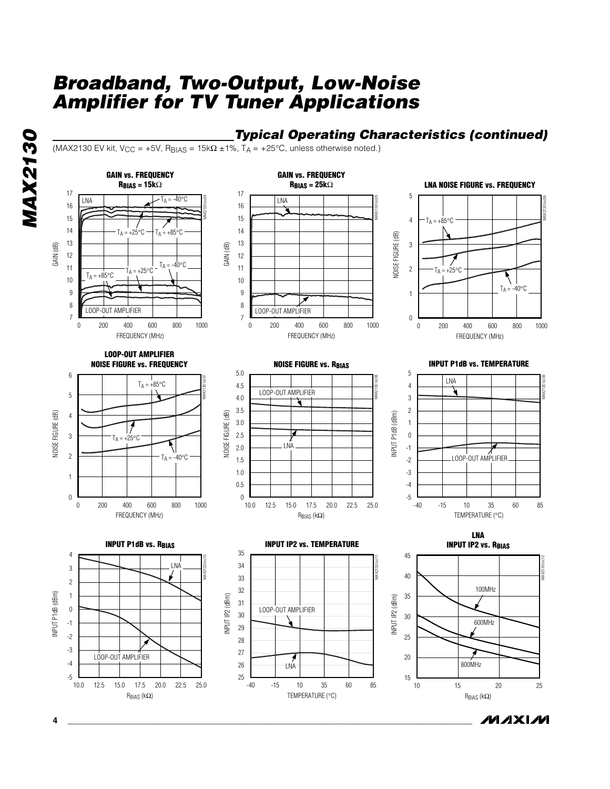### *Typical Operating Characteristics (continued)*

(MAX2130 EV kit, V<sub>CC</sub> = +5V, R<sub>BIAS</sub> = 15k $\Omega$  ±1%, T<sub>A</sub> = +25°C, unless otherwise noted.)

**GAIN vs. FREQUENCY**

*MAX2130* **MAX2130** 



**GAIN vs. FREQUENCY**

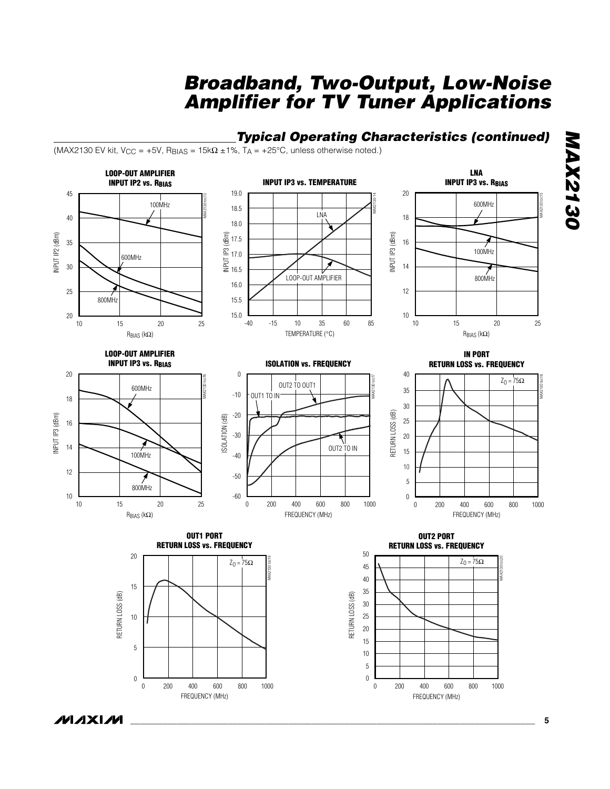## *Typical Operating Characteristics (continued)*

(MAX2130 EV kit, V<sub>CC</sub> = +5V, R<sub>BIAS</sub> = 15k $\Omega$  ±1%, T<sub>A</sub> = +25°C, unless otherwise noted.)



**MAXM**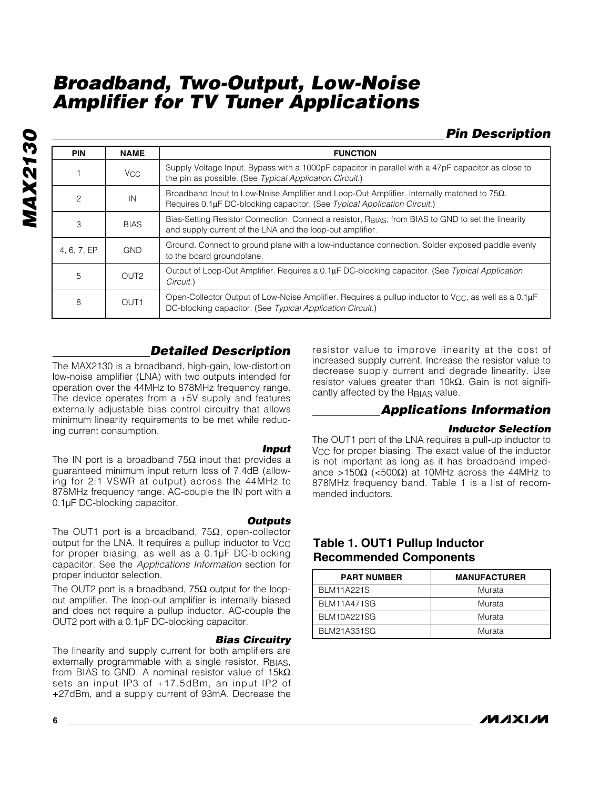## *Pin Description*

| <b>PIN</b>     | <b>NAME</b>      | <b>FUNCTION</b>                                                                                                                                                                     |  |  |
|----------------|------------------|-------------------------------------------------------------------------------------------------------------------------------------------------------------------------------------|--|--|
|                | V <sub>CC</sub>  | Supply Voltage Input. Bypass with a 1000pF capacitor in parallel with a 47pF capacitor as close to<br>the pin as possible. (See Typical Application Circuit.)                       |  |  |
| $\overline{c}$ | IN               | Broadband Input to Low-Noise Amplifier and Loop-Out Amplifier. Internally matched to $75\Omega$ .<br>Requires 0.1µF DC-blocking capacitor. (See Typical Application Circuit.)       |  |  |
| 3              | <b>BIAS</b>      | Bias-Setting Resistor Connection. Connect a resistor, R <sub>BIAS</sub> , from BIAS to GND to set the linearity<br>and supply current of the LNA and the loop-out amplifier.        |  |  |
| 4, 6, 7, EP    | <b>GND</b>       | Ground. Connect to ground plane with a low-inductance connection. Solder exposed paddle evenly<br>to the board groundplane.                                                         |  |  |
| 5              | OUT <sub>2</sub> | Output of Loop-Out Amplifier. Requires a 0.1µF DC-blocking capacitor. (See Typical Application<br>Circuit.)                                                                         |  |  |
| 8              | OUT <sub>1</sub> | Open-Collector Output of Low-Noise Amplifier. Requires a pullup inductor to V <sub>CC</sub> , as well as a 0.1 $\mu$ F<br>DC-blocking capacitor. (See Typical Application Circuit.) |  |  |

#### *Detailed Description*

The MAX2130 is a broadband, high-gain, low-distortion low-noise amplifier (LNA) with two outputs intended for operation over the 44MHz to 878MHz frequency range. The device operates from a +5V supply and features externally adjustable bias control circuitry that allows minimum linearity requirements to be met while reducing current consumption.

#### *Input*

The IN port is a broadband  $75\Omega$  input that provides a guaranteed minimum input return loss of 7.4dB (allowing for 2:1 VSWR at output) across the 44MHz to 878MHz frequency range. AC-couple the IN port with a 0.1µF DC-blocking capacitor.

*Outputs* The OUT1 port is a broadband, 75 $\Omega$ , open-collector output for the LNA. It requires a pullup inductor to V<sub>CC</sub> for proper biasing, as well as a 0.1µF DC-blocking capacitor. See the *Applications Information* section for proper inductor selection.

The OUT2 port is a broadband,  $75\Omega$  output for the loopout amplifier. The loop-out amplifier is internally biased and does not require a pullup inductor. AC-couple the OUT2 port with a 0.1µF DC-blocking capacitor.

#### *Bias Circuitry*

The linearity and supply current for both amplifiers are externally programmable with a single resistor, RBIAS, from BIAS to GND. A nominal resistor value of  $15k\Omega$ sets an input IP3 of +17.5dBm, an input IP2 of +27dBm, and a supply current of 93mA. Decrease the

resistor value to improve linearity at the cost of increased supply current. Increase the resistor value to decrease supply current and degrade linearity. Use resistor values greater than 10kΩ. Gain is not significantly affected by the RBIAS value.

#### *Applications Information*

#### *Inductor Selection*

The OUT1 port of the LNA requires a pull-up inductor to  $V_{\text{CC}}$  for proper biasing. The exact value of the inductor is not important as long as it has broadband impedance >150Ω (<500Ω) at 10MHz across the 44MHz to 878MHz frequency band. Table 1 is a list of recommended inductors.

## **Table 1. OUT1 Pullup Inductor Recommended Components**

| <b>PART NUMBER</b> | <b>MANUFACTURER</b> |
|--------------------|---------------------|
| <b>BLM11A221S</b>  | Murata              |
| <b>BLM11A471SG</b> | Murata              |
| <b>BLM10A221SG</b> | Murata              |
| <b>BLM21A331SG</b> | Murata              |

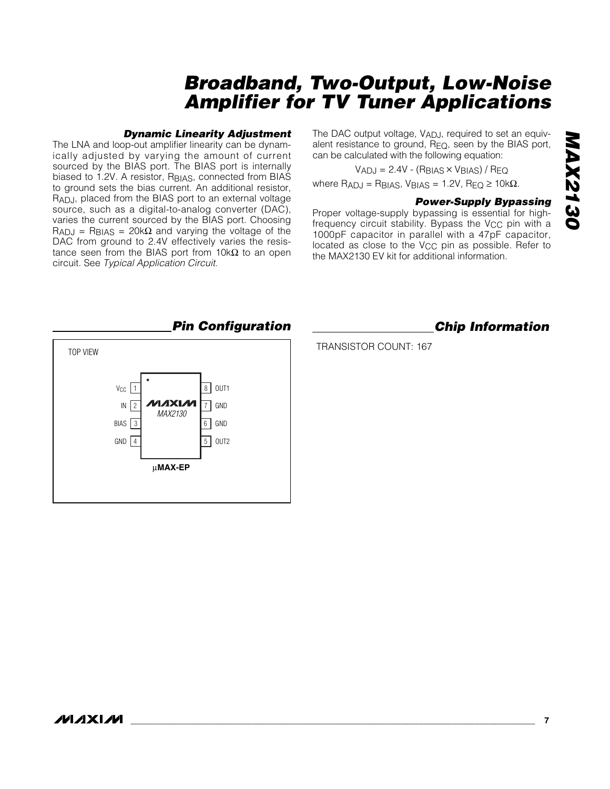#### *Dynamic Linearity Adjustment*

The LNA and loop-out amplifier linearity can be dynamically adjusted by varying the amount of current sourced by the BIAS port. The BIAS port is internally biased to 1.2V. A resistor, RBIAS, connected from BIAS to ground sets the bias current. An additional resistor, RADJ, placed from the BIAS port to an external voltage source, such as a digital-to-analog converter (DAC), varies the current sourced by the BIAS port. Choosing  $R_{\text{ADJ}}$  = R<sub>BIAS</sub> = 20k $\Omega$  and varying the voltage of the DAC from ground to 2.4V effectively varies the resistance seen from the BIAS port from 10kΩ to an open circuit. See *Typical Application Circuit*.

The DAC output voltage, V<sub>ADJ</sub>, required to set an equivalent resistance to ground,  $R_{EQ}$ , seen by the BIAS port, can be calculated with the following equation:

$$
V_{ADJ} = 2.4V - (R_{BIAS} \times V_{BIAS}) / Re_{Q}
$$

where  $R_{ADJ} = R_{BIAS}$ ,  $V_{BIAS} = 1.2V$ ,  $R_{EQ} \ge 10k\Omega$ .

#### *Power-Supply Bypassing*

Proper voltage-supply bypassing is essential for highfrequency circuit stability. Bypass the V<sub>CC</sub> pin with a 1000pF capacitor in parallel with a 47pF capacitor, located as close to the V<sub>CC</sub> pin as possible. Refer to the MAX2130 EV kit for additional information.



#### *Pin Configuration Chip Information*

TRANSISTOR COUNT: 167